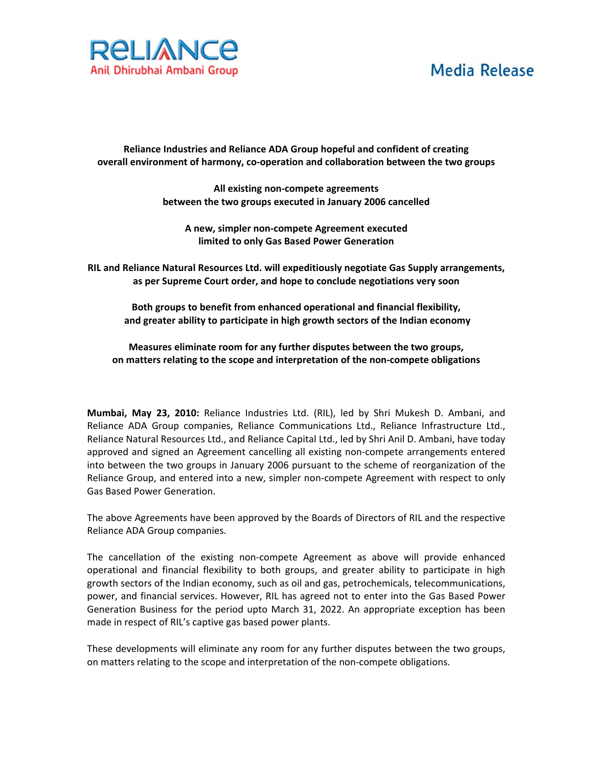## **Media Release**



**Reliance Industries and Reliance ADA Group hopeful and confident of creating overall environment of harmony, co‐operation and collaboration between the two groups**

> **All existing non‐compete agreements between the two groups executed in January 2006 cancelled**

**A new, simpler non‐compete Agreement executed limited to only Gas Based Power Generation**

**RIL and Reliance Natural Resources Ltd. will expeditiously negotiate Gas Supply arrangements, as per Supreme Court order, and hope to conclude negotiations very soon**

**Both groups to benefit from enhanced operational and financial flexibility, and greater ability to participate in high growth sectors of the Indian economy**

**Measures eliminate room for any further disputes between the two groups, on matters relating to the scope and interpretation of the non‐compete obligations**

**Mumbai, May 23, 2010:** Reliance Industries Ltd. (RIL), led by Shri Mukesh D. Ambani, and Reliance ADA Group companies, Reliance Communications Ltd., Reliance Infrastructure Ltd., Reliance Natural Resources Ltd., and Reliance Capital Ltd., led by Shri Anil D. Ambani, have today approved and signed an Agreement cancelling all existing non‐compete arrangements entered into between the two groups in January 2006 pursuant to the scheme of reorganization of the Reliance Group, and entered into a new, simpler non‐compete Agreement with respect to only Gas Based Power Generation.

The above Agreements have been approved by the Boards of Directors of RIL and the respective Reliance ADA Group companies.

The cancellation of the existing non-compete Agreement as above will provide enhanced operational and financial flexibility to both groups, and greater ability to participate in high growth sectors of the Indian economy, such as oil and gas, petrochemicals, telecommunications, power, and financial services. However, RIL has agreed not to enter into the Gas Based Power Generation Business for the period upto March 31, 2022. An appropriate exception has been made in respect of RIL's captive gas based power plants.

These developments will eliminate any room for any further disputes between the two groups, on matters relating to the scope and interpretation of the non‐compete obligations.